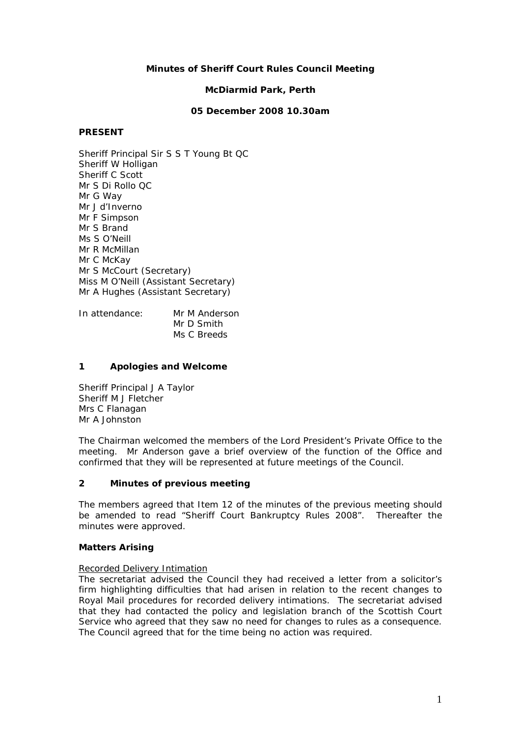## **Minutes of Sheriff Court Rules Council Meeting**

### **McDiarmid Park, Perth**

#### **05 December 2008 10.30am**

#### **PRESENT**

Sheriff Principal Sir S S T Young Bt QC Sheriff W Holligan Sheriff C Scott Mr S Di Rollo QC Mr G Way Mr J d'Inverno Mr F Simpson Mr S Brand Ms S O'Neill Mr R McMillan Mr C McKay Mr S McCourt (Secretary) Miss M O'Neill (Assistant Secretary) Mr A Hughes (Assistant Secretary)

In attendance: Mr M Anderson Mr D Smith Ms C Breeds

#### **1 Apologies and Welcome**

Sheriff Principal J A Taylor Sheriff M J Fletcher Mrs C Flanagan Mr A Johnston

The Chairman welcomed the members of the Lord President's Private Office to the meeting. Mr Anderson gave a brief overview of the function of the Office and confirmed that they will be represented at future meetings of the Council.

#### **2 Minutes of previous meeting**

The members agreed that Item 12 of the minutes of the previous meeting should be amended to read "Sheriff Court Bankruptcy Rules 2008". Thereafter the minutes were approved.

### **Matters Arising**

### Recorded Delivery Intimation

The secretariat advised the Council they had received a letter from a solicitor's firm highlighting difficulties that had arisen in relation to the recent changes to Royal Mail procedures for recorded delivery intimations. The secretariat advised that they had contacted the policy and legislation branch of the Scottish Court Service who agreed that they saw no need for changes to rules as a consequence. The Council agreed that for the time being no action was required.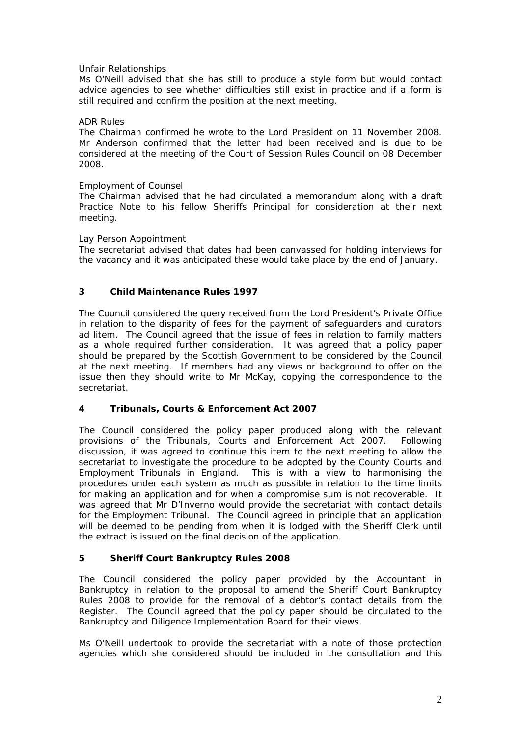## Unfair Relationships

Ms O'Neill advised that she has still to produce a style form but would contact advice agencies to see whether difficulties still exist in practice and if a form is still required and confirm the position at the next meeting.

### ADR Rules

The Chairman confirmed he wrote to the Lord President on 11 November 2008. Mr Anderson confirmed that the letter had been received and is due to be considered at the meeting of the Court of Session Rules Council on 08 December 2008.

### Employment of Counsel

The Chairman advised that he had circulated a memorandum along with a draft Practice Note to his fellow Sheriffs Principal for consideration at their next meeting.

## Lay Person Appointment

The secretariat advised that dates had been canvassed for holding interviews for the vacancy and it was anticipated these would take place by the end of January.

# **3 Child Maintenance Rules 1997**

The Council considered the query received from the Lord President's Private Office in relation to the disparity of fees for the payment of safeguarders and curators *ad litem*. The Council agreed that the issue of fees in relation to family matters as a whole required further consideration. It was agreed that a policy paper should be prepared by the Scottish Government to be considered by the Council at the next meeting. If members had any views or background to offer on the issue then they should write to Mr McKay, copying the correspondence to the secretariat.

# **4 Tribunals, Courts & Enforcement Act 2007**

The Council considered the policy paper produced along with the relevant provisions of the Tribunals, Courts and Enforcement Act 2007. Following discussion, it was agreed to continue this item to the next meeting to allow the secretariat to investigate the procedure to be adopted by the County Courts and Employment Tribunals in England. This is with a view to harmonising the procedures under each system as much as possible in relation to the time limits for making an application and for when a compromise sum is not recoverable. It was agreed that Mr D'Inverno would provide the secretariat with contact details for the Employment Tribunal. The Council agreed in principle that an application will be deemed to be pending from when it is lodged with the Sheriff Clerk until the extract is issued on the final decision of the application.

# **5 Sheriff Court Bankruptcy Rules 2008**

The Council considered the policy paper provided by the Accountant in Bankruptcy in relation to the proposal to amend the Sheriff Court Bankruptcy Rules 2008 to provide for the removal of a debtor's contact details from the Register. The Council agreed that the policy paper should be circulated to the Bankruptcy and Diligence Implementation Board for their views.

Ms O'Neill undertook to provide the secretariat with a note of those protection agencies which she considered should be included in the consultation and this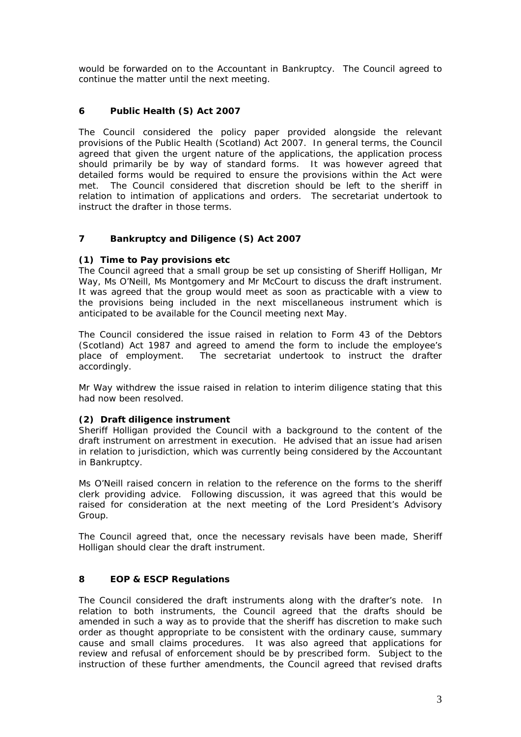would be forwarded on to the Accountant in Bankruptcy. The Council agreed to continue the matter until the next meeting.

# **6 Public Health (S) Act 2007**

The Council considered the policy paper provided alongside the relevant provisions of the Public Health (Scotland) Act 2007. In general terms, the Council agreed that given the urgent nature of the applications, the application process should primarily be by way of standard forms. It was however agreed that detailed forms would be required to ensure the provisions within the Act were met. The Council considered that discretion should be left to the sheriff in relation to intimation of applications and orders. The secretariat undertook to instruct the drafter in those terms.

## **7 Bankruptcy and Diligence (S) Act 2007**

### **(1) Time to Pay provisions etc**

The Council agreed that a small group be set up consisting of Sheriff Holligan, Mr Way, Ms O'Neill, Ms Montgomery and Mr McCourt to discuss the draft instrument. It was agreed that the group would meet as soon as practicable with a view to the provisions being included in the next miscellaneous instrument which is anticipated to be available for the Council meeting next May.

The Council considered the issue raised in relation to Form 43 of the Debtors (Scotland) Act 1987 and agreed to amend the form to include the employee's place of employment. The secretariat undertook to instruct the drafter accordingly.

Mr Way withdrew the issue raised in relation to interim diligence stating that this had now been resolved.

### **(2) Draft diligence instrument**

Sheriff Holligan provided the Council with a background to the content of the draft instrument on arrestment in execution. He advised that an issue had arisen in relation to jurisdiction, which was currently being considered by the Accountant in Bankruptcy.

Ms O'Neill raised concern in relation to the reference on the forms to the sheriff clerk providing advice. Following discussion, it was agreed that this would be raised for consideration at the next meeting of the Lord President's Advisory Group.

The Council agreed that, once the necessary revisals have been made, Sheriff Holligan should clear the draft instrument.

## **8 EOP & ESCP Regulations**

The Council considered the draft instruments along with the drafter's note. In relation to both instruments, the Council agreed that the drafts should be amended in such a way as to provide that the sheriff has discretion to make such order as thought appropriate to be consistent with the ordinary cause, summary cause and small claims procedures. It was also agreed that applications for review and refusal of enforcement should be by prescribed form. Subject to the instruction of these further amendments, the Council agreed that revised drafts